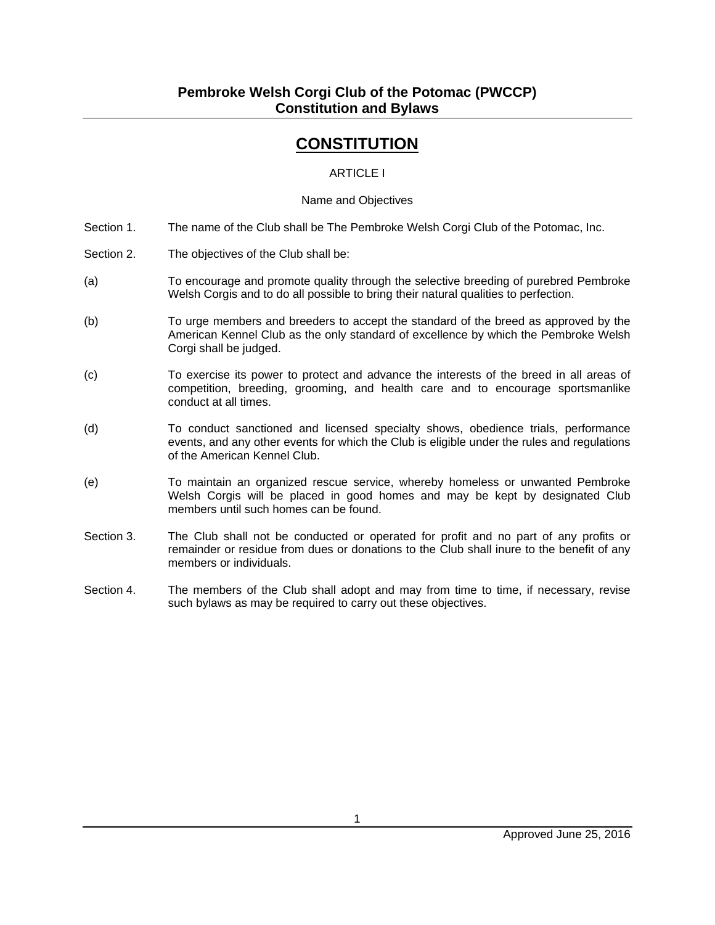# **CONSTITUTION**

### ARTICLE I

#### Name and Objectives

- Section 1. The name of the Club shall be The Pembroke Welsh Corgi Club of the Potomac, Inc.
- Section 2. The objectives of the Club shall be:
- (a) To encourage and promote quality through the selective breeding of purebred Pembroke Welsh Corgis and to do all possible to bring their natural qualities to perfection.
- (b) To urge members and breeders to accept the standard of the breed as approved by the American Kennel Club as the only standard of excellence by which the Pembroke Welsh Corgi shall be judged.
- (c) To exercise its power to protect and advance the interests of the breed in all areas of competition, breeding, grooming, and health care and to encourage sportsmanlike conduct at all times.
- (d) To conduct sanctioned and licensed specialty shows, obedience trials, performance events, and any other events for which the Club is eligible under the rules and regulations of the American Kennel Club.
- (e) To maintain an organized rescue service, whereby homeless or unwanted Pembroke Welsh Corgis will be placed in good homes and may be kept by designated Club members until such homes can be found.
- Section 3. The Club shall not be conducted or operated for profit and no part of any profits or remainder or residue from dues or donations to the Club shall inure to the benefit of any members or individuals.
- Section 4. The members of the Club shall adopt and may from time to time, if necessary, revise such bylaws as may be required to carry out these objectives.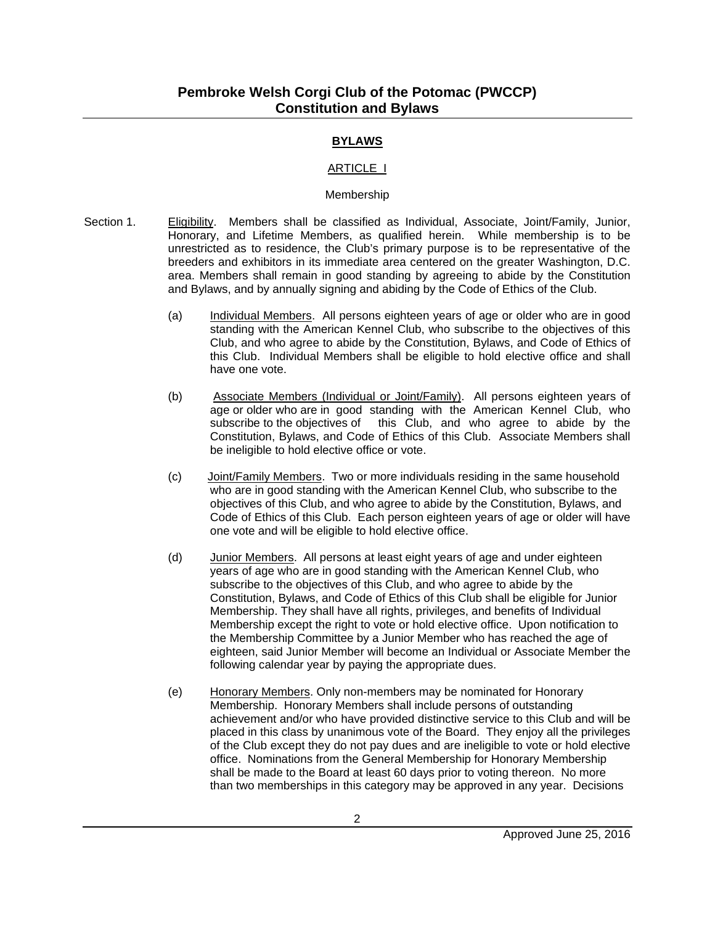# **BYLAWS**

#### ARTICLE I

#### Membership

- Section 1. Eligibility. Members shall be classified as Individual, Associate, Joint/Family, Junior, Honorary, and Lifetime Members, as qualified herein. While membership is to be unrestricted as to residence, the Club's primary purpose is to be representative of the breeders and exhibitors in its immediate area centered on the greater Washington, D.C. area. Members shall remain in good standing by agreeing to abide by the Constitution and Bylaws, and by annually signing and abiding by the Code of Ethics of the Club.
	- (a) Individual Members. All persons eighteen years of age or older who are in good standing with the American Kennel Club, who subscribe to the objectives of this Club, and who agree to abide by the Constitution, Bylaws, and Code of Ethics of this Club. Individual Members shall be eligible to hold elective office and shall have one vote.
	- (b) Associate Members (Individual or Joint/Family). All persons eighteen years of age or older who are in good standing with the American Kennel Club, who subscribe to the objectives of this Club, and who agree to abide by the this Club, and who agree to abide by the Constitution, Bylaws, and Code of Ethics of this Club. Associate Members shall be ineligible to hold elective office or vote.
	- (c) Joint/Family Members. Two or more individuals residing in the same household who are in good standing with the American Kennel Club, who subscribe to the objectives of this Club, and who agree to abide by the Constitution, Bylaws, and Code of Ethics of this Club. Each person eighteen years of age or older will have one vote and will be eligible to hold elective office.
	- (d) Junior Members. All persons at least eight years of age and under eighteen years of age who are in good standing with the American Kennel Club, who subscribe to the objectives of this Club, and who agree to abide by the Constitution, Bylaws, and Code of Ethics of this Club shall be eligible for Junior Membership. They shall have all rights, privileges, and benefits of Individual Membership except the right to vote or hold elective office. Upon notification to the Membership Committee by a Junior Member who has reached the age of eighteen, said Junior Member will become an Individual or Associate Member the following calendar year by paying the appropriate dues.
	- (e) Honorary Members. Only non-members may be nominated for Honorary Membership. Honorary Members shall include persons of outstanding achievement and/or who have provided distinctive service to this Club and will be placed in this class by unanimous vote of the Board. They enjoy all the privileges of the Club except they do not pay dues and are ineligible to vote or hold elective office. Nominations from the General Membership for Honorary Membership shall be made to the Board at least 60 days prior to voting thereon. No more than two memberships in this category may be approved in any year. Decisions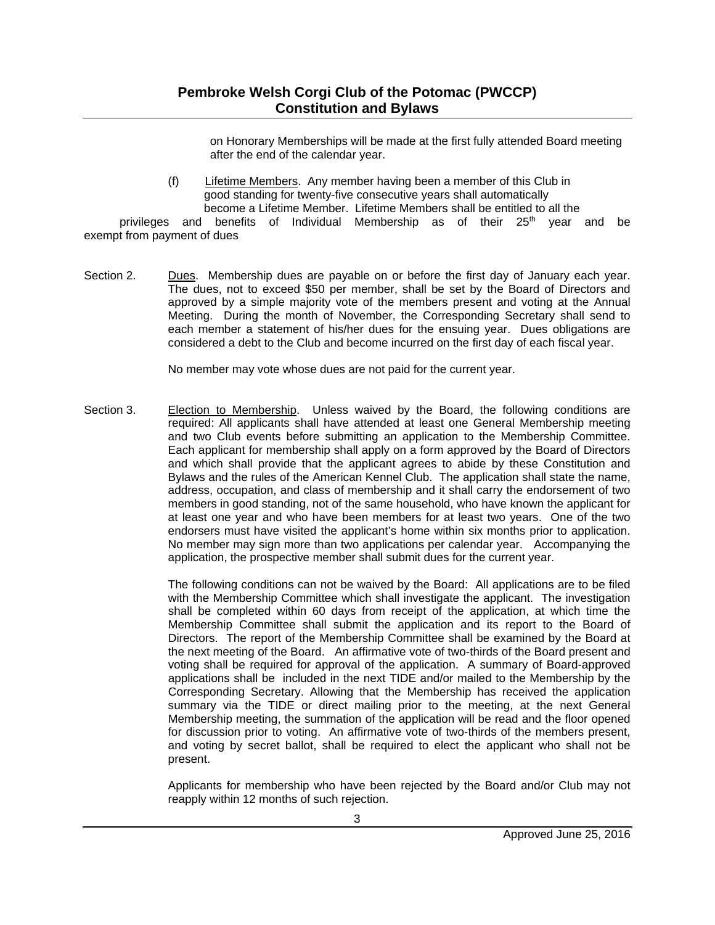on Honorary Memberships will be made at the first fully attended Board meeting after the end of the calendar year.

(f) Lifetime Members. Any member having been a member of this Club in good standing for twenty-five consecutive years shall automatically become a Lifetime Member. Lifetime Members shall be entitled to all the

privileges and benefits of Individual Membership as of their  $25<sup>th</sup>$  year and be exempt from payment of dues

Section 2. Dues. Membership dues are payable on or before the first day of January each year. The dues, not to exceed \$50 per member, shall be set by the Board of Directors and approved by a simple majority vote of the members present and voting at the Annual Meeting. During the month of November, the Corresponding Secretary shall send to each member a statement of his/her dues for the ensuing year. Dues obligations are considered a debt to the Club and become incurred on the first day of each fiscal year.

No member may vote whose dues are not paid for the current year.

Section 3. Election to Membership. Unless waived by the Board, the following conditions are required: All applicants shall have attended at least one General Membership meeting and two Club events before submitting an application to the Membership Committee. Each applicant for membership shall apply on a form approved by the Board of Directors and which shall provide that the applicant agrees to abide by these Constitution and Bylaws and the rules of the American Kennel Club. The application shall state the name, address, occupation, and class of membership and it shall carry the endorsement of two members in good standing, not of the same household, who have known the applicant for at least one year and who have been members for at least two years. One of the two endorsers must have visited the applicant's home within six months prior to application. No member may sign more than two applications per calendar year. Accompanying the application, the prospective member shall submit dues for the current year.

> The following conditions can not be waived by the Board: All applications are to be filed with the Membership Committee which shall investigate the applicant. The investigation shall be completed within 60 days from receipt of the application, at which time the Membership Committee shall submit the application and its report to the Board of Directors. The report of the Membership Committee shall be examined by the Board at the next meeting of the Board. An affirmative vote of two-thirds of the Board present and voting shall be required for approval of the application. A summary of Board-approved applications shall be included in the next TIDE and/or mailed to the Membership by the Corresponding Secretary. Allowing that the Membership has received the application summary via the TIDE or direct mailing prior to the meeting, at the next General Membership meeting, the summation of the application will be read and the floor opened for discussion prior to voting. An affirmative vote of two-thirds of the members present, and voting by secret ballot, shall be required to elect the applicant who shall not be present.

> Applicants for membership who have been rejected by the Board and/or Club may not reapply within 12 months of such rejection.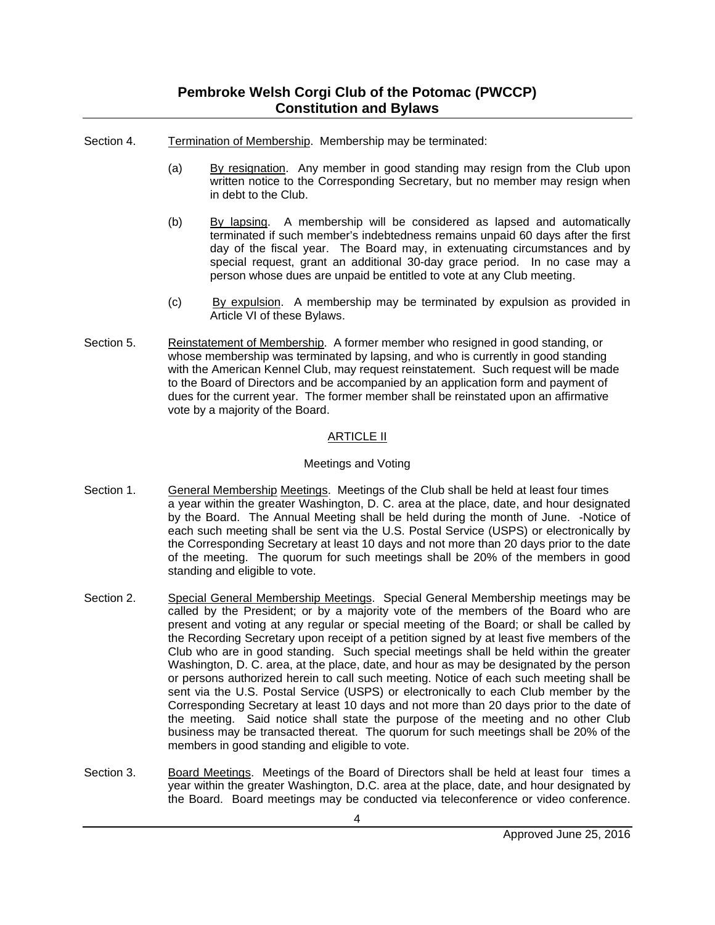# **Pembroke Welsh Corgi Club of the Potomac (PWCCP) Constitution and Bylaws**

- Section 4. Termination of Membership. Membership may be terminated:
	- (a) By resignation. Any member in good standing may resign from the Club upon written notice to the Corresponding Secretary, but no member may resign when in debt to the Club.
	- (b) By lapsing. A membership will be considered as lapsed and automatically terminated if such member's indebtedness remains unpaid 60 days after the first day of the fiscal year. The Board may, in extenuating circumstances and by special request, grant an additional 30-day grace period. In no case may a person whose dues are unpaid be entitled to vote at any Club meeting.
	- (c) By expulsion. A membership may be terminated by expulsion as provided in Article VI of these Bylaws.
- Section 5. Reinstatement of Membership. A former member who resigned in good standing, or whose membership was terminated by lapsing, and who is currently in good standing with the American Kennel Club, may request reinstatement. Such request will be made to the Board of Directors and be accompanied by an application form and payment of dues for the current year. The former member shall be reinstated upon an affirmative vote by a majority of the Board.

#### ARTICLE II

#### Meetings and Voting

- Section 1. General Membership Meetings. Meetings of the Club shall be held at least four times a year within the greater Washington, D. C. area at the place, date, and hour designated by the Board. The Annual Meeting shall be held during the month of June. -Notice of each such meeting shall be sent via the U.S. Postal Service (USPS) or electronically by the Corresponding Secretary at least 10 days and not more than 20 days prior to the date of the meeting. The quorum for such meetings shall be 20% of the members in good standing and eligible to vote.
- Section 2. Special General Membership Meetings. Special General Membership meetings may be called by the President; or by a majority vote of the members of the Board who are present and voting at any regular or special meeting of the Board; or shall be called by the Recording Secretary upon receipt of a petition signed by at least five members of the Club who are in good standing. Such special meetings shall be held within the greater Washington, D. C. area, at the place, date, and hour as may be designated by the person or persons authorized herein to call such meeting. Notice of each such meeting shall be sent via the U.S. Postal Service (USPS) or electronically to each Club member by the Corresponding Secretary at least 10 days and not more than 20 days prior to the date of the meeting. Said notice shall state the purpose of the meeting and no other Club business may be transacted thereat. The quorum for such meetings shall be 20% of the members in good standing and eligible to vote.
- Section 3. Board Meetings. Meetings of the Board of Directors shall be held at least four times a year within the greater Washington, D.C. area at the place, date, and hour designated by the Board. Board meetings may be conducted via teleconference or video conference.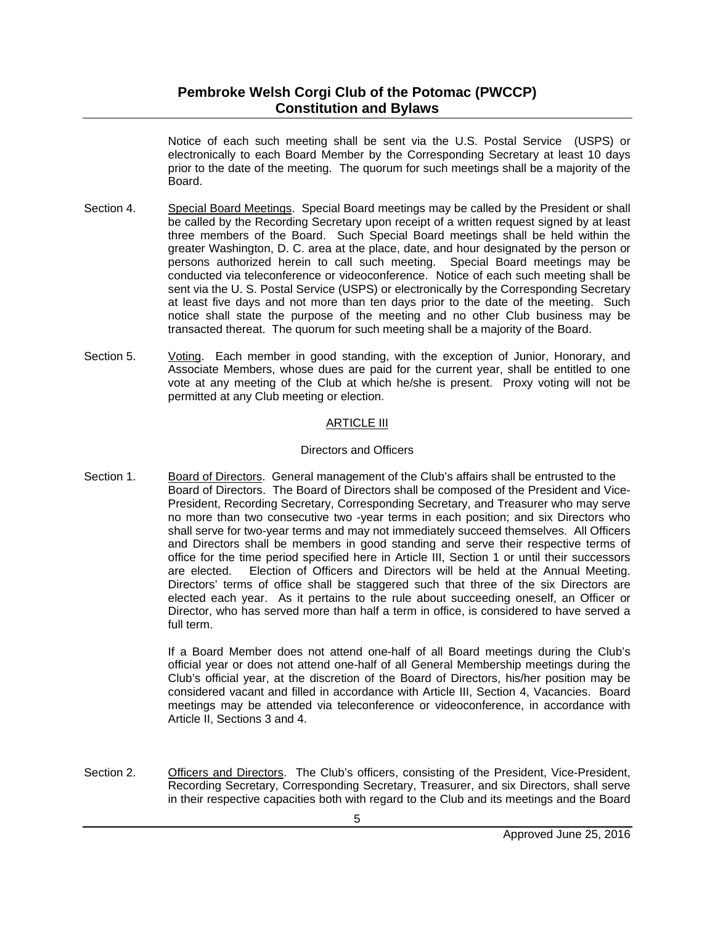# **Pembroke Welsh Corgi Club of the Potomac (PWCCP) Constitution and Bylaws**

Notice of each such meeting shall be sent via the U.S. Postal Service (USPS) or electronically to each Board Member by the Corresponding Secretary at least 10 days prior to the date of the meeting. The quorum for such meetings shall be a majority of the Board.

- Section 4. Special Board Meetings. Special Board meetings may be called by the President or shall be called by the Recording Secretary upon receipt of a written request signed by at least three members of the Board. Such Special Board meetings shall be held within the greater Washington, D. C. area at the place, date, and hour designated by the person or persons authorized herein to call such meeting. Special Board meetings may be conducted via teleconference or videoconference. Notice of each such meeting shall be sent via the U. S. Postal Service (USPS) or electronically by the Corresponding Secretary at least five days and not more than ten days prior to the date of the meeting. Such notice shall state the purpose of the meeting and no other Club business may be transacted thereat. The quorum for such meeting shall be a majority of the Board.
- Section 5. Voting. Each member in good standing, with the exception of Junior, Honorary, and Associate Members, whose dues are paid for the current year, shall be entitled to one vote at any meeting of the Club at which he/she is present. Proxy voting will not be permitted at any Club meeting or election.

#### ARTICLE III

#### Directors and Officers

Section 1. Board of Directors. General management of the Club's affairs shall be entrusted to the Board of Directors. The Board of Directors shall be composed of the President and Vice-President, Recording Secretary, Corresponding Secretary, and Treasurer who may serve no more than two consecutive two -year terms in each position; and six Directors who shall serve for two-year terms and may not immediately succeed themselves. All Officers and Directors shall be members in good standing and serve their respective terms of office for the time period specified here in Article III, Section 1 or until their successors are elected. Election of Officers and Directors will be held at the Annual Meeting. Directors' terms of office shall be staggered such that three of the six Directors are elected each year. As it pertains to the rule about succeeding oneself, an Officer or Director, who has served more than half a term in office, is considered to have served a full term.

> If a Board Member does not attend one-half of all Board meetings during the Club's official year or does not attend one-half of all General Membership meetings during the Club's official year, at the discretion of the Board of Directors, his/her position may be considered vacant and filled in accordance with Article III, Section 4, Vacancies. Board meetings may be attended via teleconference or videoconference, in accordance with Article II, Sections 3 and 4.

Section 2. Officers and Directors. The Club's officers, consisting of the President, Vice-President, Recording Secretary, Corresponding Secretary, Treasurer, and six Directors, shall serve in their respective capacities both with regard to the Club and its meetings and the Board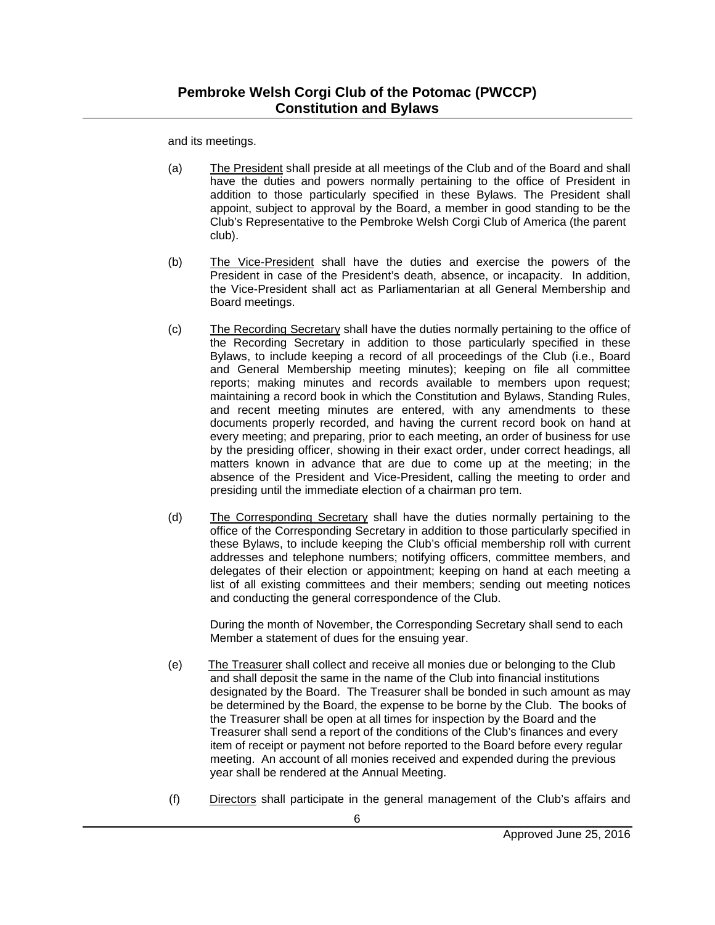and its meetings.

- (a) The President shall preside at all meetings of the Club and of the Board and shall have the duties and powers normally pertaining to the office of President in addition to those particularly specified in these Bylaws. The President shall appoint, subject to approval by the Board, a member in good standing to be the Club's Representative to the Pembroke Welsh Corgi Club of America (the parent club).
- (b) The Vice-President shall have the duties and exercise the powers of the President in case of the President's death, absence, or incapacity. In addition, the Vice-President shall act as Parliamentarian at all General Membership and Board meetings.
- (c) The Recording Secretary shall have the duties normally pertaining to the office of the Recording Secretary in addition to those particularly specified in these Bylaws, to include keeping a record of all proceedings of the Club (i.e., Board and General Membership meeting minutes); keeping on file all committee reports; making minutes and records available to members upon request; maintaining a record book in which the Constitution and Bylaws, Standing Rules, and recent meeting minutes are entered, with any amendments to these documents properly recorded, and having the current record book on hand at every meeting; and preparing, prior to each meeting, an order of business for use by the presiding officer, showing in their exact order, under correct headings, all matters known in advance that are due to come up at the meeting; in the absence of the President and Vice-President, calling the meeting to order and presiding until the immediate election of a chairman pro tem.
- (d) The Corresponding Secretary shall have the duties normally pertaining to the office of the Corresponding Secretary in addition to those particularly specified in these Bylaws, to include keeping the Club's official membership roll with current addresses and telephone numbers; notifying officers, committee members, and delegates of their election or appointment; keeping on hand at each meeting a list of all existing committees and their members; sending out meeting notices and conducting the general correspondence of the Club.

During the month of November, the Corresponding Secretary shall send to each Member a statement of dues for the ensuing year.

- (e) The Treasurer shall collect and receive all monies due or belonging to the Club and shall deposit the same in the name of the Club into financial institutions designated by the Board. The Treasurer shall be bonded in such amount as may be determined by the Board, the expense to be borne by the Club. The books of the Treasurer shall be open at all times for inspection by the Board and the Treasurer shall send a report of the conditions of the Club's finances and every item of receipt or payment not before reported to the Board before every regular meeting. An account of all monies received and expended during the previous year shall be rendered at the Annual Meeting.
- (f) Directors shall participate in the general management of the Club's affairs and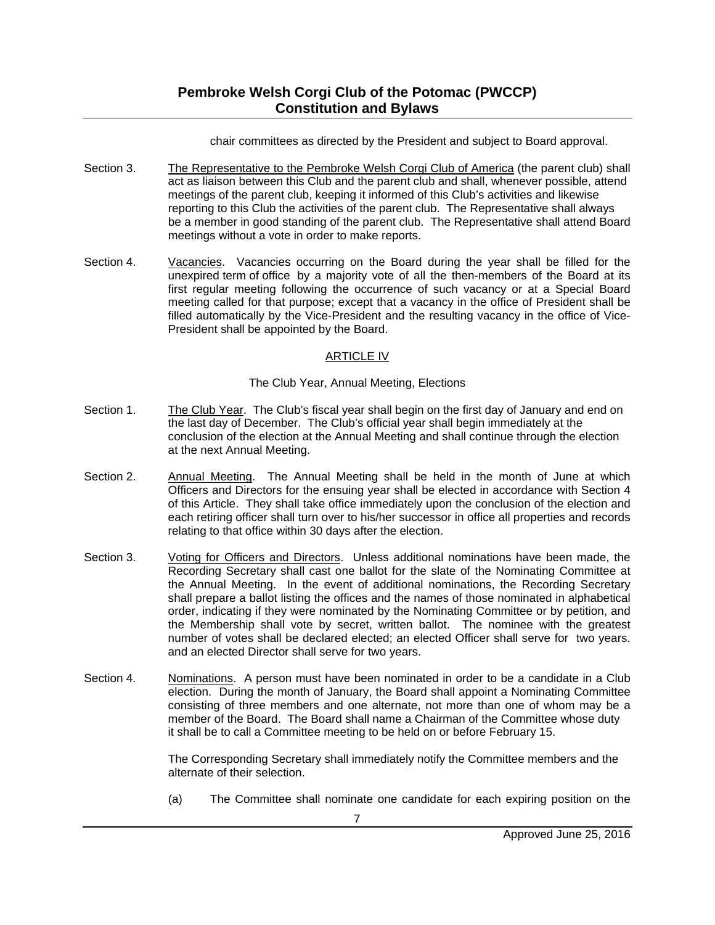chair committees as directed by the President and subject to Board approval.

- Section 3. The Representative to the Pembroke Welsh Corgi Club of America (the parent club) shall act as liaison between this Club and the parent club and shall, whenever possible, attend meetings of the parent club, keeping it informed of this Club's activities and likewise reporting to this Club the activities of the parent club. The Representative shall always be a member in good standing of the parent club. The Representative shall attend Board meetings without a vote in order to make reports.
- Section 4. Vacancies. Vacancies occurring on the Board during the year shall be filled for the unexpired term of office by a majority vote of all the then-members of the Board at its first regular meeting following the occurrence of such vacancy or at a Special Board meeting called for that purpose; except that a vacancy in the office of President shall be filled automatically by the Vice-President and the resulting vacancy in the office of Vice-President shall be appointed by the Board.

## ARTICLE IV

#### The Club Year, Annual Meeting, Elections

- Section 1. The Club Year. The Club's fiscal year shall begin on the first day of January and end on the last day of December. The Club's official year shall begin immediately at the conclusion of the election at the Annual Meeting and shall continue through the election at the next Annual Meeting.
- Section 2. Annual Meeting. The Annual Meeting shall be held in the month of June at which Officers and Directors for the ensuing year shall be elected in accordance with Section 4 of this Article. They shall take office immediately upon the conclusion of the election and each retiring officer shall turn over to his/her successor in office all properties and records relating to that office within 30 days after the election.
- Section 3. Voting for Officers and Directors. Unless additional nominations have been made, the Recording Secretary shall cast one ballot for the slate of the Nominating Committee at the Annual Meeting. In the event of additional nominations, the Recording Secretary shall prepare a ballot listing the offices and the names of those nominated in alphabetical order, indicating if they were nominated by the Nominating Committee or by petition, and the Membership shall vote by secret, written ballot. The nominee with the greatest number of votes shall be declared elected; an elected Officer shall serve for two years. and an elected Director shall serve for two years.
- Section 4. Nominations. A person must have been nominated in order to be a candidate in a Club election. During the month of January, the Board shall appoint a Nominating Committee consisting of three members and one alternate, not more than one of whom may be a member of the Board. The Board shall name a Chairman of the Committee whose duty it shall be to call a Committee meeting to be held on or before February 15.

The Corresponding Secretary shall immediately notify the Committee members and the alternate of their selection.

(a) The Committee shall nominate one candidate for each expiring position on the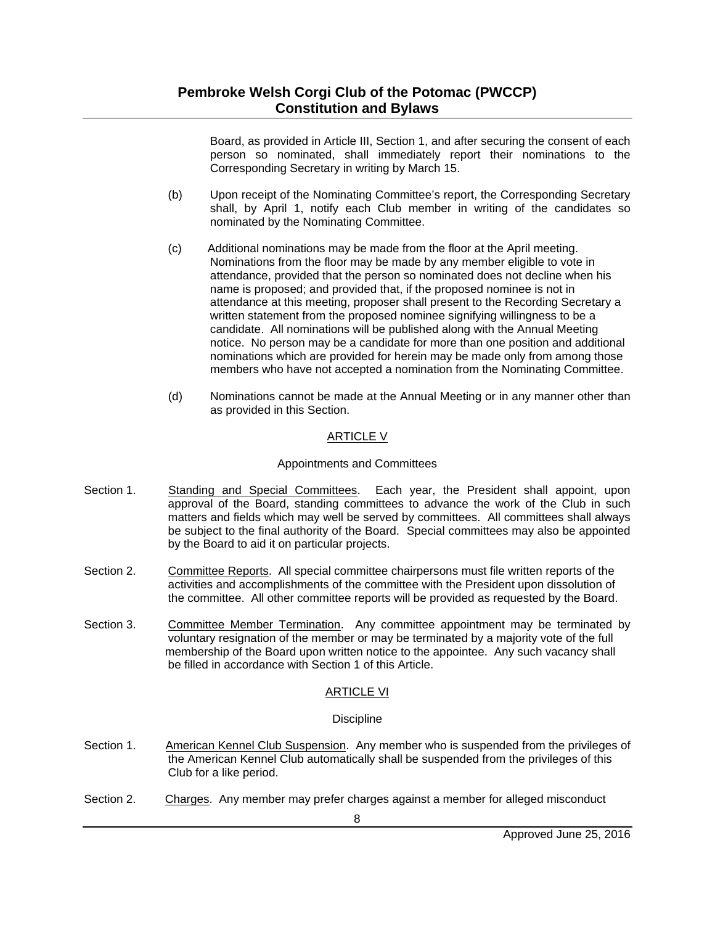Board, as provided in Article III, Section 1, and after securing the consent of each person so nominated, shall immediately report their nominations to the Corresponding Secretary in writing by March 15.

- (b) Upon receipt of the Nominating Committee's report, the Corresponding Secretary shall, by April 1, notify each Club member in writing of the candidates so nominated by the Nominating Committee.
- (c) Additional nominations may be made from the floor at the April meeting. Nominations from the floor may be made by any member eligible to vote in attendance, provided that the person so nominated does not decline when his name is proposed; and provided that, if the proposed nominee is not in attendance at this meeting, proposer shall present to the Recording Secretary a written statement from the proposed nominee signifying willingness to be a candidate. All nominations will be published along with the Annual Meeting notice. No person may be a candidate for more than one position and additional nominations which are provided for herein may be made only from among those members who have not accepted a nomination from the Nominating Committee.
- (d) Nominations cannot be made at the Annual Meeting or in any manner other than as provided in this Section.

### ARTICLE V

#### Appointments and Committees

- Section 1. Standing and Special Committees. Each year, the President shall appoint, upon approval of the Board, standing committees to advance the work of the Club in such matters and fields which may well be served by committees. All committees shall always be subject to the final authority of the Board. Special committees may also be appointed by the Board to aid it on particular projects.
- Section 2. Committee Reports. All special committee chairpersons must file written reports of the activities and accomplishments of the committee with the President upon dissolution of the committee. All other committee reports will be provided as requested by the Board.
- Section 3. Committee Member Termination. Any committee appointment may be terminated by voluntary resignation of the member or may be terminated by a majority vote of the full membership of the Board upon written notice to the appointee. Any such vacancy shall be filled in accordance with Section 1 of this Article.

#### ARTICLE VI

#### **Discipline**

- Section 1. American Kennel Club Suspension. Any member who is suspended from the privileges of the American Kennel Club automatically shall be suspended from the privileges of this Club for a like period.
- Section 2. Charges. Any member may prefer charges against a member for alleged misconduct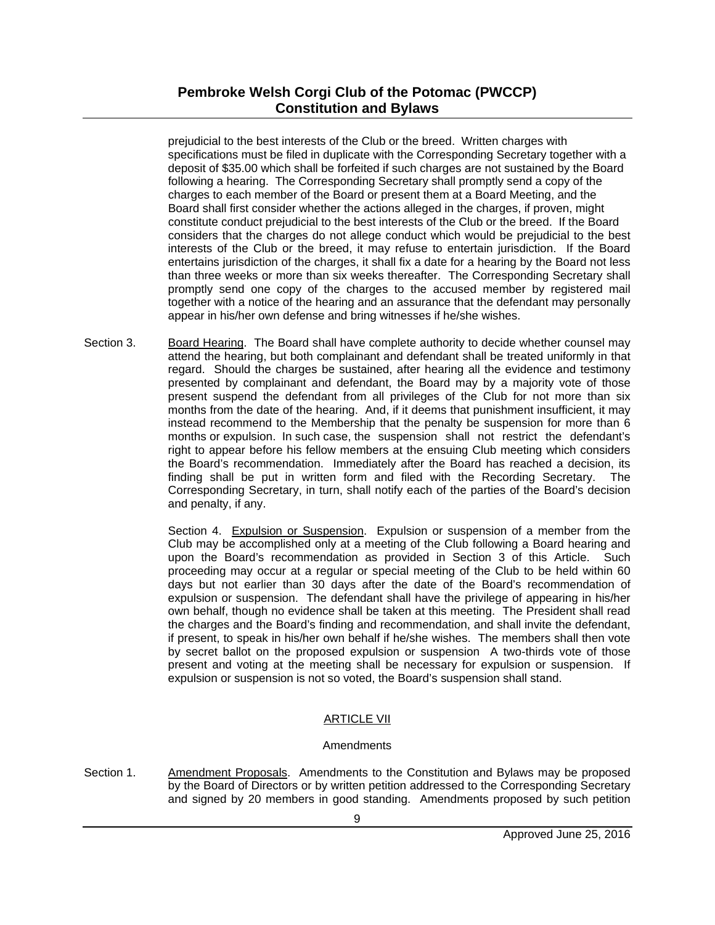prejudicial to the best interests of the Club or the breed. Written charges with specifications must be filed in duplicate with the Corresponding Secretary together with a deposit of \$35.00 which shall be forfeited if such charges are not sustained by the Board following a hearing. The Corresponding Secretary shall promptly send a copy of the charges to each member of the Board or present them at a Board Meeting, and the Board shall first consider whether the actions alleged in the charges, if proven, might constitute conduct prejudicial to the best interests of the Club or the breed. If the Board considers that the charges do not allege conduct which would be prejudicial to the best interests of the Club or the breed, it may refuse to entertain jurisdiction. If the Board entertains jurisdiction of the charges, it shall fix a date for a hearing by the Board not less than three weeks or more than six weeks thereafter. The Corresponding Secretary shall promptly send one copy of the charges to the accused member by registered mail together with a notice of the hearing and an assurance that the defendant may personally appear in his/her own defense and bring witnesses if he/she wishes.

Section 3. Board Hearing. The Board shall have complete authority to decide whether counsel may attend the hearing, but both complainant and defendant shall be treated uniformly in that regard. Should the charges be sustained, after hearing all the evidence and testimony presented by complainant and defendant, the Board may by a majority vote of those present suspend the defendant from all privileges of the Club for not more than six months from the date of the hearing. And, if it deems that punishment insufficient, it may instead recommend to the Membership that the penalty be suspension for more than 6 months or expulsion. In such case, the suspension shall not restrict the defendant's right to appear before his fellow members at the ensuing Club meeting which considers the Board's recommendation. Immediately after the Board has reached a decision, its finding shall be put in written form and filed with the Recording Secretary. The Corresponding Secretary, in turn, shall notify each of the parties of the Board's decision and penalty, if any.

> Section 4. Expulsion or Suspension. Expulsion or suspension of a member from the Club may be accomplished only at a meeting of the Club following a Board hearing and upon the Board's recommendation as provided in Section 3 of this Article. Such proceeding may occur at a regular or special meeting of the Club to be held within 60 days but not earlier than 30 days after the date of the Board's recommendation of expulsion or suspension. The defendant shall have the privilege of appearing in his/her own behalf, though no evidence shall be taken at this meeting. The President shall read the charges and the Board's finding and recommendation, and shall invite the defendant, if present, to speak in his/her own behalf if he/she wishes. The members shall then vote by secret ballot on the proposed expulsion or suspension A two-thirds vote of those present and voting at the meeting shall be necessary for expulsion or suspension. If expulsion or suspension is not so voted, the Board's suspension shall stand.

# ARTICLE VII

## **Amendments**

Section 1. Amendment Proposals. Amendments to the Constitution and Bylaws may be proposed by the Board of Directors or by written petition addressed to the Corresponding Secretary and signed by 20 members in good standing. Amendments proposed by such petition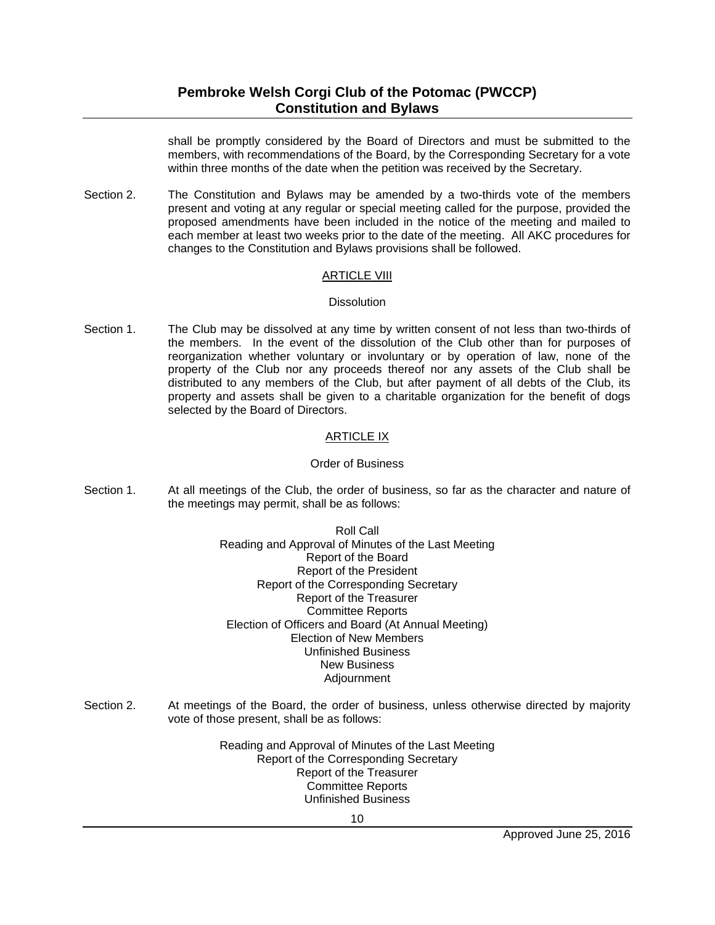# **Pembroke Welsh Corgi Club of the Potomac (PWCCP) Constitution and Bylaws**

shall be promptly considered by the Board of Directors and must be submitted to the members, with recommendations of the Board, by the Corresponding Secretary for a vote within three months of the date when the petition was received by the Secretary.

Section 2. The Constitution and Bylaws may be amended by a two-thirds vote of the members present and voting at any regular or special meeting called for the purpose, provided the proposed amendments have been included in the notice of the meeting and mailed to each member at least two weeks prior to the date of the meeting. All AKC procedures for changes to the Constitution and Bylaws provisions shall be followed.

#### ARTICLE VIII

#### **Dissolution**

Section 1. The Club may be dissolved at any time by written consent of not less than two-thirds of the members. In the event of the dissolution of the Club other than for purposes of reorganization whether voluntary or involuntary or by operation of law, none of the property of the Club nor any proceeds thereof nor any assets of the Club shall be distributed to any members of the Club, but after payment of all debts of the Club, its property and assets shall be given to a charitable organization for the benefit of dogs selected by the Board of Directors.

### ARTICLE IX

#### Order of Business

- Section 1. At all meetings of the Club, the order of business, so far as the character and nature of the meetings may permit, shall be as follows:
	- Roll Call Reading and Approval of Minutes of the Last Meeting Report of the Board Report of the President Report of the Corresponding Secretary Report of the Treasurer Committee Reports Election of Officers and Board (At Annual Meeting) Election of New Members Unfinished Business New Business Adjournment
- Section 2. At meetings of the Board, the order of business, unless otherwise directed by majority vote of those present, shall be as follows:

Reading and Approval of Minutes of the Last Meeting Report of the Corresponding Secretary Report of the Treasurer Committee Reports Unfinished Business